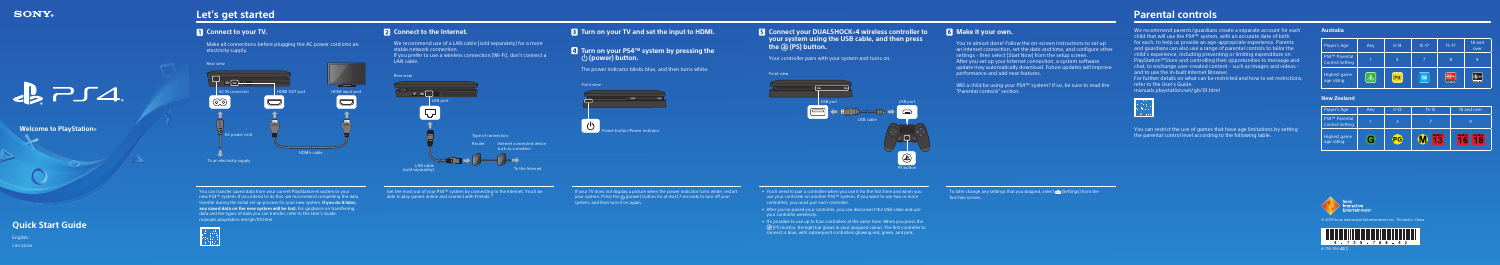# $\epsilon$   $\rightarrow$   $\epsilon$   $\rightarrow$   $\epsilon$

**Relcome to PlayStation Relation** 

#### **Quick Start Guide**

English CUH-2202A

## **Let's get started**

#### **1** Connect to your TV.

Make all connections before plugging the AC power cord into an electricity supply.

#### **Australia**

| Player's Age                            | Any                | $0-14$ | $15 - 17$ | $15-17$                | 18 and<br>over                |
|-----------------------------------------|--------------------|--------|-----------|------------------------|-------------------------------|
| PS4™ Parental<br><b>Control Setting</b> |                    | 3      |           | 8                      | 9                             |
| Highest game<br>age rating              | $\hat{\mathbf{c}}$ | PG     |           | (MA) 15+<br>RESTRICTED | $\mathbb{R}$ 18<br>RESTRICTED |

#### **New Zealand**

| Player's Age                            | Any | $0 - 12$ | $13 - 15$              | 16 and over                                 |
|-----------------------------------------|-----|----------|------------------------|---------------------------------------------|
| PS4™ Parental<br><b>Control Setting</b> |     | 3        |                        | 9                                           |
| Highest game<br>age rating              | e   | PG       | <b>RESTRICTED</b><br>1 | <b>RESTRICTED</b><br><b>RESTRICTED</b><br>п |



China in Printed in China in Printed .<br>Inc. Printed in China



(1)4-739-768-**42**



#### **6** Make it your own.

- You're almost done! Follow the on-screen instructions to set up an Internet connection, set the date and time, and configure other settings - then select [Start Now] from the setup screen. softer you set up your internet connection a system software update may automatically download. Future updates will improve .features performance and add new features.

Will a child be using your PS4™ system? If so, be sure to read the "Parental controls" section.

If your TV does not display a picture when the power indicator turns white, restart your system. Press the  $\bigcirc$  (power) button for at least 7 seconds to turn off your system, and then turn it on again.

- You'll need to pair a controller when you use it for the first time and when you use your controller on another PS4™ system. If you want to use two or more . controllers, you must pair each controller.
- After you've paired your controller, you can disconnect the USB cable and use your controller wirelessly.
- $\cdot$  It's possible to use up to four controllers at the same time. When you press the  $\Theta$  (PS) button, the light bar glows in your assigned colour. The first controller to . connect is blue, with subsequent controllers glowing red, green, and pink.

To later change any settings that you skipped, select  $\mathbb{E}$  (Settings) from the function screen.

### **Parental controls**

We recommend parents/quardians create a separate account for each child that will use the PS4<sup>™</sup> system, with an accurate date of birth for each, to help us provide an age-appropriate experience. Parents and quardians can also use a range of parental controls to tailor the child's experience, including preventing or limiting expenditure on PlayStation™Store and controlling their opportunities to message and chat, to exchange user-created content – such as images and videos – and to use the in-built Internet Browser

For further details on what can be restricted and how to set restrictions. refer to the User's Guide.

 $h$  manuals.playstation.net/gb/01.html



You can restrict the use of games that have age limitations by setting the parental control level according to the following table.



6 Get the most out of your PS4<sup>™</sup> system by connecting to the Internet. You'll be able to play games online and connect with Friends. $*$ 

#### **B** Turn on your TV and set the input to HDMI.

#### **4 Turn on your PS4™ system by pressing the (b)** (power) button.

. The power indicator blinks blue, and then turns white.

#### Front view



#### **5** Connect your DUALSHOCK<sub>®</sub>4 wireless controller to **your system using the USB cable, and then press** the **(a)** (PS) button.

Your controller pairs with your system and turns on.



You can transfer saved data from your current PlayStation 4 system to your new PS4™ system. If you intend to do this, we recommend completing the data transfer during the initial set up process for your new system. **If you do it later,** the **any saved data on the new system will be lost.** For quidance on transferring  $\frac{1}{2}$  data and the types of data you can transfer, refer to the User's Guide. manuals.playstation.net/gb/04.html



**2** Connect to the Internet.

We recommend use of a LAN cable (sold separately) for a more stable network connection.

If you prefer to use a wireless connection (Wi-Fi), don't connect a **LAN** cable